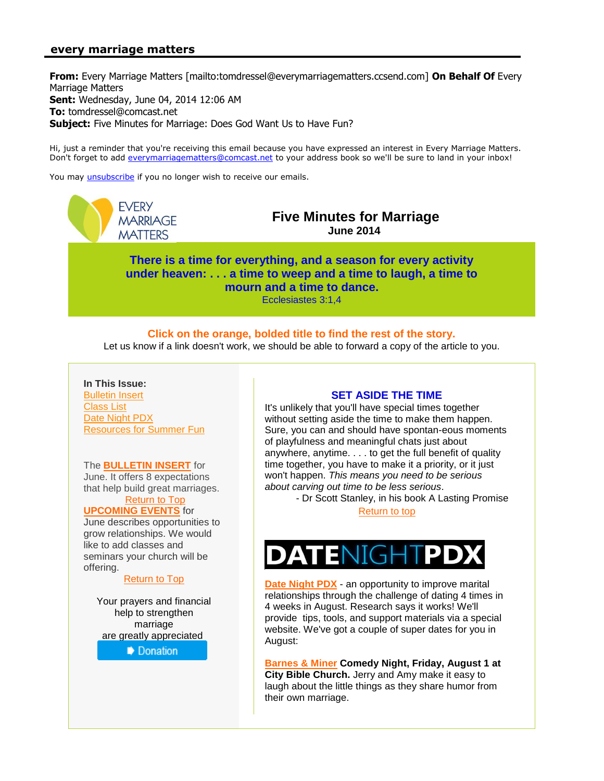# <span id="page-0-0"></span>**every marriage matters**

**From:** Every Marriage Matters [mailto:tomdressel@everymarriagematters.ccsend.com] **On Behalf Of** Every Marriage Matters **Sent:** Wednesday, June 04, 2014 12:06 AM **To:** tomdressel@comcast.net **Subject:** Five Minutes for Marriage: Does God Want Us to Have Fun?

Hi, just a reminder that you're receiving this email because you have expressed an interest in Every Marriage Matters. Don't forget to add [everymarriagematters@comcast.net](mailto:everymarriagematters@comcast.net) to your address book so we'll be sure to land in your inbox!

You may [unsubscribe](http://visitor.constantcontact.com/do?p=un&m=001avanTJy8H1vTKf4iBMEd2g%3D%3D&ch=3411b370-5fed-11e3-8479-d4ae5292c3f3&ca=a75e199e-3a71-4117-87c5-6c17b0ddf7c7) if you no longer wish to receive our emails.

**FVFRY MARRIAGE MATTERS** 

**Five Minutes for Marriage June 2014**

<span id="page-0-1"></span>**There is a time for everything, and a season for every activity under heaven: . . . a time to weep and a time to laugh, a time to mourn and a time to dance.** Ecclesiastes 3:1,4

## **Click on the orange, bolded title to find the rest of the story.**

Let us know if a link doesn't work, we should be able to forward a copy of the article to you.

**In This Issue:** [Bulletin Insert](#page-0-0) [Class List](#page-0-0) [Date Night PDX](#page-0-0) [Resources for Summer Fun](#page-1-0)

The **[BULLETIN INSERT](http://r20.rs6.net/tn.jsp?f=001nFcxAn9uTI6QMV7VWzSXYDQeTa3p358kxOeSEqWE5PcxETz-wB0ncgaas_UWb2_wsD6FKNSSBpICYo4q3U1sEOg-gX6MZntI8FRlYLzIQP_rnxsTk6EGWa6dl8QW5hlrzjdRcxmMdIbR0F7KnzZXriP61pc15rnRsql2ib6eXQkBbOPGBt6llcBDq2m8EnjDPzlMCJrQg5YqL3P4cxBq4u_pPcIgIFhwvZTYy6SDj83479clv5BfKeW3kKBd7wYJA7RmRM1CelwYJ2OR0_69umeVHKOQujspixtNfQLcZoXkKUz8HNRIgnaH81nIdokovrN9QtZ1re4cbzo9s42dKw9inxxPBbhlmtqbA0DiIwjOoIwZMrhl0VlHd2Robef6fHOdOY7GYveGYBOp_3VC0odOtWhDEDDl&c=hyyggfIwe6br2s1DZDVfl7EXyVJc1XpY_t5XTIl2Vi9JdiYZW-AOXw==&ch=xR1KIZ0We9i2J6TcQdf6lLZC-MYler_D28aIVPwY_8MabjBjx82ztg==)** for June. It offers 8 expectations that help build great marriages.

#### [Return to Top](#page-0-1) **[UPCOMING EVENTS](http://r20.rs6.net/tn.jsp?f=001nFcxAn9uTI6QMV7VWzSXYDQeTa3p358kxOeSEqWE5PcxETz-wB0ncgaas_UWb2_wGRblVbmXIJqsxHFSDimma-EF-o_8vyr4GPdhUfarcgSTNTYxZbNhtruN_ERVbwYx6SQHBIlMEHDMuix5-bDvzs1ORk5yZu-XJjFRLDSXCi0PuUMUC-5_EauJkXnPjY45eqAtnRa0p2MKW7isWZqbJcJPINnw2ByK2mQu4AdTSh0YZh7eIwGetrG-O_ca6FHmDfdXgGINTwBdV3psjsdZiJ_IJurCSj52qhSHGoDmePOvniUc27ocx_N1etzz7mewJWsbZ0rAN1Dn2VwmyIsPgy_yBs4VrrTpprbBiVkQW8sFHPrVfqk7eP28ud13T-FXHLh46CbWGzcmD44rtMkp6FhaJFDVopvA&c=hyyggfIwe6br2s1DZDVfl7EXyVJc1XpY_t5XTIl2Vi9JdiYZW-AOXw==&ch=xR1KIZ0We9i2J6TcQdf6lLZC-MYler_D28aIVPwY_8MabjBjx82ztg==)** for

June describes opportunities to grow relationships. We would like to add classes and seminars your church will be offering.

#### [Return to Top](#page-0-1)

Your prayers and financial help to strengthen marriage are greatly appreciated



# **SET ASIDE THE TIME**

It's unlikely that you'll have special times together without setting aside the time to make them happen. Sure, you can and should have spontan-eous moments of playfulness and meaningful chats just about anywhere, anytime. . . . to get the full benefit of quality time together, you have to make it a priority, or it just won't happen. *This means you need to be serious about carving out time to be less serious*.

- Dr Scott Stanley, in his book A Lasting Promise

[Return to top](#page-0-1)



**[Date Night PDX](http://r20.rs6.net/tn.jsp?f=001nFcxAn9uTI6QMV7VWzSXYDQeTa3p358kxOeSEqWE5PcxETz-wB0ncgaas_UWb2_w6ndqK62Odwvgcc1uRPvzvdqUxcjPmIen06xD18sKS2Cdht9S-706cEvrYfdramjMZzIja-n1k4vXkwwkIxgt0LB3jpCd35yM0wGGg1icvlzsdgG2hIYo9Pch34--nKGYm3TVMT_nRScfp8pp4xW9oat1ORqU4nMM1ntmK7vZXCaRJNXhF9sE9ax9fyV95XZLfhXqOui_RSdJwAGdP70A7XNxA4NhTI9897A1IQhlZvfo2eIevpbP24pIeCEvCVDiRRHUZzxhExtMK4U6T_NyBF5luMkAxcHEBRX5DWxQX1uv4K49yu7JjQ==&c=hyyggfIwe6br2s1DZDVfl7EXyVJc1XpY_t5XTIl2Vi9JdiYZW-AOXw==&ch=xR1KIZ0We9i2J6TcQdf6lLZC-MYler_D28aIVPwY_8MabjBjx82ztg==)** - an opportunity to improve marital relationships through the challenge of dating 4 times in 4 weeks in August. Research says it works! We'll provide tips, tools, and support materials via a special website. We've got a couple of super dates for you in August:

**[Barnes & Miner](http://r20.rs6.net/tn.jsp?f=001nFcxAn9uTI6QMV7VWzSXYDQeTa3p358kxOeSEqWE5PcxETz-wB0ncgaas_UWb2_wZbLVUSJb7TYDOq-ZqqI5p7fOGbxdHu-4yOq5GIbBvXf2CeYUFmjkkX15vun6LLZECsilBKlzhUow45QY6ReMaquwCZ8Abe3mCIyQFtsPGBNnT5badqUd3gQlw2R65Rf_skJssK1tNPd1JQWmTLGUfzmoT_yt3mdMr1J8zGsZV6yOMSARott0_q3y6HzKxRt68fmB18MDviTnz8XRrFOfvBBmDtKF2V_6R1TCKXhSamVs3aL8eklu_EOt5nhSLIJAw48uMxjgbaSm9_JcTw3gtd7VCZouWmaCOCGXhww8coJXBbqiyl6t8G-gsYiQu1GiUptEHAOTt-o=&c=hyyggfIwe6br2s1DZDVfl7EXyVJc1XpY_t5XTIl2Vi9JdiYZW-AOXw==&ch=xR1KIZ0We9i2J6TcQdf6lLZC-MYler_D28aIVPwY_8MabjBjx82ztg==) Comedy Night, Friday, August 1 at City Bible Church.** Jerry and Amy make it easy to laugh about the little things as they share humor from their own marriage.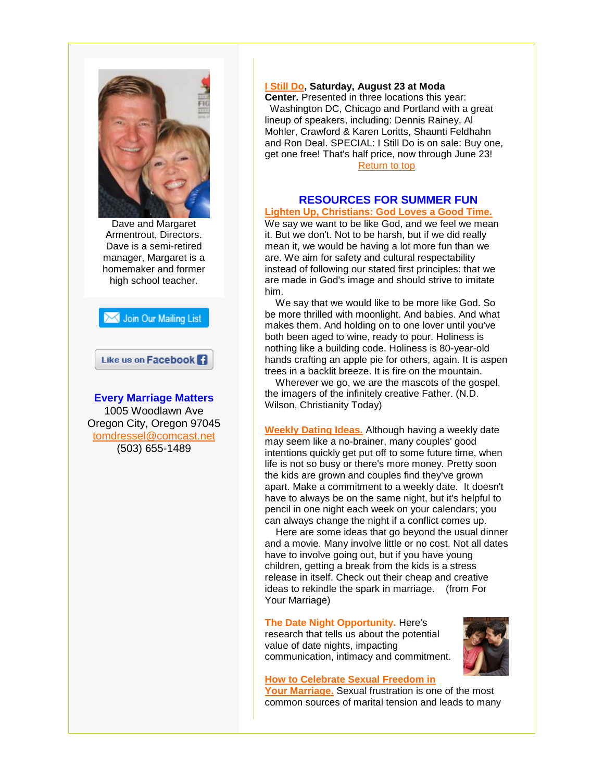<span id="page-1-0"></span>

Dave and Margaret Armentrout, Directors. Dave is a semi-retired manager, Margaret is a homemaker and former high school teacher.



# Like us on Facebook<sup>1</sup>

**Every Marriage Matters** 1005 Woodlawn Ave Oregon City, Oregon 97045 [tomdressel@comcast.net](mailto:tomdressel@comcast.net) (503) 655-1489

### **[I Still Do,](http://r20.rs6.net/tn.jsp?f=001nFcxAn9uTI6QMV7VWzSXYDQeTa3p358kxOeSEqWE5PcxETz-wB0ncgaas_UWb2_wMFAJRb1dV1u1-VnLqjhKbwtC272xeDNHC2vdjqIYRuSKmEdGsUoS-ygCZ1RLaVSnMzQJ8zd6sxK2SyvctliN6a4WNYtbpj1_pKcV_9ZA9fafK9cbz9EPmflbHaQc-Tlnoayhfz9BjCUQpwczSvNPCGFJV-wGk-TwtN9F_4NGZ32fflRDpbEbyeoR9VcE6dNdFCh0l0BJ_m44HPkm4LWB_TDNWfI5IQAcXqAoSm0Rz5HVtZC1_EhSOLFASwCHPpmD&c=hyyggfIwe6br2s1DZDVfl7EXyVJc1XpY_t5XTIl2Vi9JdiYZW-AOXw==&ch=xR1KIZ0We9i2J6TcQdf6lLZC-MYler_D28aIVPwY_8MabjBjx82ztg==) Saturday, August 23 at Moda**

**Center.** Presented in three locations this year: Washington DC, Chicago and Portland with a great lineup of speakers, including: Dennis Rainey, Al Mohler, Crawford & Karen Loritts, Shaunti Feldhahn and Ron Deal. SPECIAL: I Still Do is on sale: Buy one, get one free! That's half price, now through June 23! [Return to top](#page-0-1)

### **RESOURCES FOR SUMMER FUN [Lighten Up, Christians: God Loves a Good Time.](http://r20.rs6.net/tn.jsp?f=001nFcxAn9uTI6QMV7VWzSXYDQeTa3p358kxOeSEqWE5PcxETz-wB0ncgaas_UWb2_wLhYg3hOfTW74GW47iJBIWAYha4XvbW0w5UoZc4rm9w4JnKXROSFl34CWtqRm_OOp2U5hmCrRmiBAeW7WD1e_jWAoUOu_BoGZrQWaAAvPZsVSlPqxoAY7FxCEOXZL-Om8LsMYiHD9Jq4qR4kC9hI-grG7TEhMLULzNUx-Mtt28ONIpHEBLFh6qgRLg4wmWNn1E4R-o4qB6BmEjud2vtJ0cxRhAdhH3lp_ogrF9aWa0uNAu4M3BFFE37rGXx1_jVd-gqn8_xTxTghlGiyKlt4vcAFe6H8mmtMfcxQaF08Mz9GWbE8N8gkha3rQylSQZzMVf7tAJ4j_ZrtozrMC3TW6-XVGv8CfHbzBNRLbGte0LIRSVRaV5-01VQ==&c=hyyggfIwe6br2s1DZDVfl7EXyVJc1XpY_t5XTIl2Vi9JdiYZW-AOXw==&ch=xR1KIZ0We9i2J6TcQdf6lLZC-MYler_D28aIVPwY_8MabjBjx82ztg==)**

We say we want to be like God, and we feel we mean it. But we don't. Not to be harsh, but if we did really mean it, we would be having a lot more fun than we are. We aim for safety and cultural respectability instead of following our stated first principles: that we are made in God's image and should strive to imitate him.

We say that we would like to be more like God. So be more thrilled with moonlight. And babies. And what makes them. And holding on to one lover until you've both been aged to wine, ready to pour. Holiness is nothing like a building code. Holiness is 80-year-old hands crafting an apple pie for others, again. It is aspen trees in a backlit breeze. It is fire on the mountain.

Wherever we go, we are the mascots of the gospel, the imagers of the infinitely creative Father. (N.D. Wilson, Christianity Today)

**[Weekly Dating Ideas.](http://r20.rs6.net/tn.jsp?f=001nFcxAn9uTI6QMV7VWzSXYDQeTa3p358kxOeSEqWE5PcxETz-wB0ncgaas_UWb2_wa1zeljA6RWvvlZ2-Y1A9BhW4az6F_LfmkrSRKHlCk63kDyslvi4Khb1pZDKl8F1IPv9TADcRJE7_snHGC63Ncha6EuFjUc5P7U7IQrMbGGY7x920-eFmZl4peFu5L-d8siTmYWySEsTFIotjjU9FVPLYzr3vBK2x_DxWdrdZjMKMTa6mG7edLsYY8XE83Ll0QNY5YSzr8bSi8qLsVYkmfqvUbn9mPjD1vkV6JG_9tDVJWntBpbHavfPDnCq89Z8ac41kyR-XmE0q6IL35KZhVu03kNZnU3HLvNNMjwkoVTrQouroBK5toag6pQhMTL48vI-FK6cpz0IUadCYmSvWv-OXvE1gyATX&c=hyyggfIwe6br2s1DZDVfl7EXyVJc1XpY_t5XTIl2Vi9JdiYZW-AOXw==&ch=xR1KIZ0We9i2J6TcQdf6lLZC-MYler_D28aIVPwY_8MabjBjx82ztg==)** Although having a weekly date may seem like a no-brainer, many couples' good intentions quickly get put off to some future time, when life is not so busy or there's more money. Pretty soon the kids are grown and couples find they've grown apart. Make a commitment to a weekly date. It doesn't have to always be on the same night, but it's helpful to pencil in one night each week on your calendars; you can always change the night if a conflict comes up.

Here are some ideas that go beyond the usual dinner and a movie. Many involve little or no cost. Not all dates have to involve going out, but if you have young children, getting a break from the kids is a stress release in itself. Check out their cheap and creative ideas to rekindle the spark in marriage. (from For Your Marriage)

### **The Date Night Opportunity.** Here's

research that tells us about the potential value of date nights, impacting communication, intimacy and commitment.



#### **[How to Celebrate Sexual Freedom in](http://r20.rs6.net/tn.jsp?f=001nFcxAn9uTI6QMV7VWzSXYDQeTa3p358kxOeSEqWE5PcxETz-wB0ncgaas_UWb2_w7A0vBlLF2FyDHg42LmWkJkGxqUjeehtc9T39yo6K1Jk-Lme2ZEsdJimszKJn7oMK7TWgdMzcUBcngreuWGGbwTh-FLazqanX4Kw1yN02BDllODEk_hBnGZ6cfhKmS8krZ7lcBce7ulloC4r1veKMNi8A_ZssOsDj5aJDgntEMe59dpvB0X4i8CpuuB_ir8ZZNWXjLALFM7smKlfT2g2pIb9cuhIZMV5knVQz9o5xif8X2SAEFJW7qtSbT3t3tX4bNlFVsllDq6CWzcaqBfqqfeZ2ROBiCXh0j3qQiJ5sGX7ZLGivYS0R9sAd4QtRm9la0wpmbgHJRqlJYssUXPrQRnkuG9rfkwYU07EztU52nPydsPx8n3wOFA==&c=hyyggfIwe6br2s1DZDVfl7EXyVJc1XpY_t5XTIl2Vi9JdiYZW-AOXw==&ch=xR1KIZ0We9i2J6TcQdf6lLZC-MYler_D28aIVPwY_8MabjBjx82ztg==)**

**[Your Marriage.](http://r20.rs6.net/tn.jsp?f=001nFcxAn9uTI6QMV7VWzSXYDQeTa3p358kxOeSEqWE5PcxETz-wB0ncgaas_UWb2_w7A0vBlLF2FyDHg42LmWkJkGxqUjeehtc9T39yo6K1Jk-Lme2ZEsdJimszKJn7oMK7TWgdMzcUBcngreuWGGbwTh-FLazqanX4Kw1yN02BDllODEk_hBnGZ6cfhKmS8krZ7lcBce7ulloC4r1veKMNi8A_ZssOsDj5aJDgntEMe59dpvB0X4i8CpuuB_ir8ZZNWXjLALFM7smKlfT2g2pIb9cuhIZMV5knVQz9o5xif8X2SAEFJW7qtSbT3t3tX4bNlFVsllDq6CWzcaqBfqqfeZ2ROBiCXh0j3qQiJ5sGX7ZLGivYS0R9sAd4QtRm9la0wpmbgHJRqlJYssUXPrQRnkuG9rfkwYU07EztU52nPydsPx8n3wOFA==&c=hyyggfIwe6br2s1DZDVfl7EXyVJc1XpY_t5XTIl2Vi9JdiYZW-AOXw==&ch=xR1KIZ0We9i2J6TcQdf6lLZC-MYler_D28aIVPwY_8MabjBjx82ztg==)** Sexual frustration is one of the most common sources of marital tension and leads to many